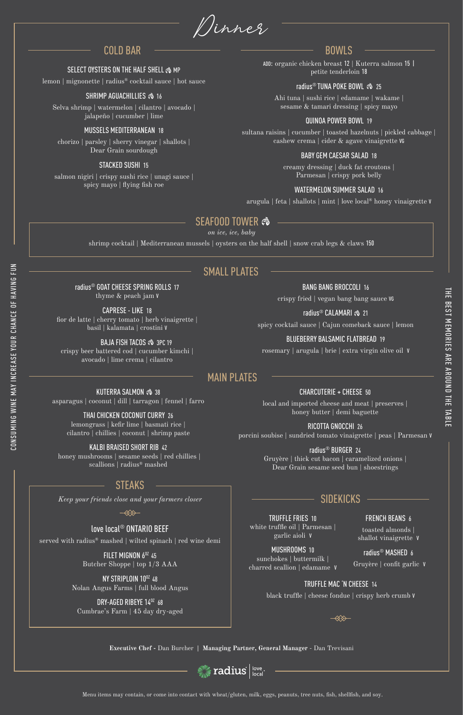ADD: organic chicken breast 12 | Kuterra salmon 15 | petite tenderloin 18

## radius<sup>®</sup> TUNA POKE BOWL  $\otimes$  25

Ahi tuna | sushi rice | edamame | wakame | sesame & tamari dressing | spicy mayo

## QUINOA POWER BOWL 19

sultana raisins | cucumber | toasted hazelnuts | pickled cabbage | cashew crema | cider & agave vinaigrette VG

### BABY GEM CAESAR SALAD 18

creamy dressing | duck fat croutons | Parmesan | crispy pork belly

# WATERMELON SUMMER SALAD 16

arugula | feta | shallots | mint | love local® honey vinaigrette V

Dinner

**Executive Chef -** Dan Burcher **| Managing Partner, General Manager** - Dan Trevisani



lemon | mignonette | radius® cocktail sauce | hot sauce

### SHRIMP AGUACHILLIES  $\hat{\mathfrak{B}}$  16

Selva shrimp | watermelon | cilantro | avocado | jalapeño | cucumber | lime

KUTERRA SALMON  $\hat{\infty}$  38 asparagus | coconut | dill | tarragon | fennel | farro

### MUSSELS MEDITERRANEAN 18

chorizo | parsley | sherry vinegar | shallots | Dear Grain sourdough

honey mushrooms | sesame seeds | red chillies | scallions | radius® mashed

#### STACKED SUSHI 15

local and imported cheese and meat | preserves | honey butter | demi baguette

salmon nigiri | crispy sushi rice | unagi sauce | spicy mayo | flying fish roe

# radius® GOAT CHEESE SPRING ROLLS 17 thyme & peach jam V

CAPRESE - LIKE 18 fior de latte | cherry tomato | herb vinaigrette | basil | kalamata | crostini V

BAJA FISH TACOS  $\hat{\infty}$  3PC 19

crispy beer battered cod | cucumber kimchi | avocado | lime crema | cilantro

# BANG BANG BROCCOLI 16

crispy fried | vegan bang bang sauce VG

radius<sup>®</sup> CALAMARI �� 21

#### FILET MIGNON 6<sup>0Z</sup> 45 Butcher Shoppe | top 1/3 AAA

spicy cocktail sauce | Cajun comeback sauce | lemon

### NY STRIPLOIN 10<sup>02</sup> 48 Nolan Angus Farms | full blood Angus

## BLUEBERRY BALSAMIC FLATBREAD 19

### DRY-AGED RIBEYE 140Z 68 Cumbrae's Farm | 45 day dry-aged

rosemary | arugula | brie | extra virgin olive oil V

# THAI CHICKEN COCONUT CURRY 26

lemongrass | kefir lime | basmati rice | cilantro | chillies | coconut | shrimp paste

## KALBI BRAISED SHORT RIB 42

CHARCUTERIE + CHEESE 50

## RICOTTA GNOCCHI 26

porcini soubise | sundried tomato vinaigrette | peas | Parmesan V

# radius® BURGER 24

Gruyère | thick cut bacon | caramelized onions | Dear Grain sesame seed bun | shoestrings

# COLD BAR

### SELECT OYSTERS ON THE HALF SHELL  $\hat{\mathcal{E}}$  MP

# SMALL PLATES

# BOWLS

Menu items may contain, or come into contact with wheat/gluten, milk, eggs, peanuts, tree nuts, fish, shellfish, and soy.

TRUFFLE FRIES 10 white truffle oil | Parmesan | garlic aioli V

#### MUSHROOMS 10 sunchokes | buttermilk | charred scallion | edamame V

FRENCH BEANS 6

toasted almonds | shallot vinaigrette V

radius® MASHED 6 Gruyère | confit garlic V

## TRUFFLE MAC 'N CHEESE 14

black truffle | cheese fondue | crispy herb crumb v

⋘

# SIDEKICKS

## love local® ONTARIO BEEF

served with radius® mashed | wilted spinach | red wine demi

# STEAKS

*Keep your friends close and your farmers closer*

≪≫

CONSUMING WINE MAY INCREASE YOUR CHANCE OF HAVING FUN

CONSUMING WINE MAY INCREASE YOUR CHANCE OF HAVING FUN

# MAIN PLATES

shrimp cocktail | Mediterranean mussels | oysters on the half shell | snow crab legs & claws 150

# SEAFOOD TOWER

*on ice, ice, baby*